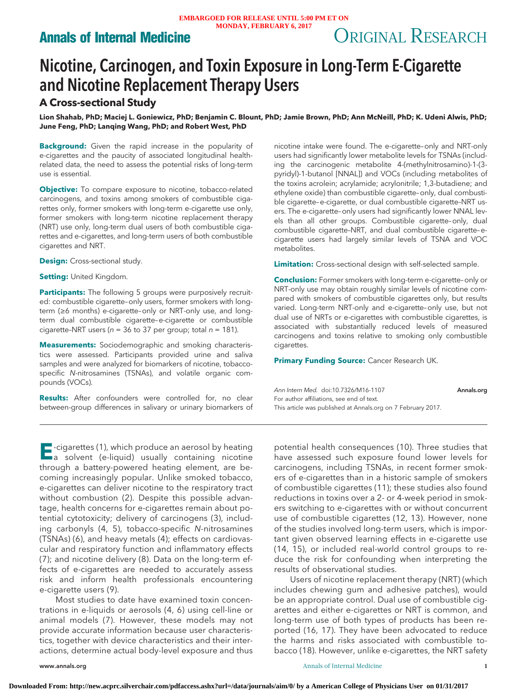# **Annals of Internal Medicine** Mondal, Research ORIGINAL RESEARCH

# Nicotine, Carcinogen, and Toxin Exposure in Long-Term E-Cigarette and Nicotine Replacement Therapy Users

# **A Cross-sectional Study**

**Lion Shahab, PhD; Maciej L. Goniewicz, PhD; Benjamin C. Blount, PhD; Jamie Brown, PhD; Ann McNeill, PhD; K. Udeni Alwis, PhD; June Feng, PhD; Lanqing Wang, PhD; and Robert West, PhD**

**Background:** Given the rapid increase in the popularity of e-cigarettes and the paucity of associated longitudinal healthrelated data, the need to assess the potential risks of long-term use is essential.

**Objective:** To compare exposure to nicotine, tobacco-related carcinogens, and toxins among smokers of combustible cigarettes only, former smokers with long-term e-cigarette use only, former smokers with long-term nicotine replacement therapy (NRT) use only, long-term dual users of both combustible cigarettes and e-cigarettes, and long-term users of both combustible cigarettes and NRT.

**Design:** Cross-sectional study.

**Setting:** United Kingdom.

**Participants:** The following 5 groups were purposively recruited: combustible cigarette–only users, former smokers with longterm (≥6 months) e-cigarette–only or NRT-only use, and longterm dual combustible cigarette–e-cigarette or combustible cigarette-NRT users ( $n = 36$  to 37 per group; total  $n = 181$ ).

**Measurements:** Sociodemographic and smoking characteristics were assessed. Participants provided urine and saliva samples and were analyzed for biomarkers of nicotine, tobaccospecific N-nitrosamines (TSNAs), and volatile organic compounds (VOCs).

**Results:** After confounders were controlled for, no clear between-group differences in salivary or urinary biomarkers of nicotine intake were found. The e-cigarette–only and NRT-only users had significantly lower metabolite levels for TSNAs (including the carcinogenic metabolite 4-(methylnitrosamino)-1-(3 pyridyl)-1-butanol [NNAL]) and VOCs (including metabolites of the toxins acrolein; acrylamide; acrylonitrile; 1,3-butadiene; and ethylene oxide) than combustible cigarette–only, dual combustible cigarette–e-cigarette, or dual combustible cigarette–NRT users. The e-cigarette–only users had significantly lower NNAL levels than all other groups. Combustible cigarette–only, dual combustible cigarette–NRT, and dual combustible cigarette–ecigarette users had largely similar levels of TSNA and VOC metabolites.

**Limitation:** Cross-sectional design with self-selected sample.

**Conclusion:** Former smokers with long-term e-cigarette–only or NRT-only use may obtain roughly similar levels of nicotine compared with smokers of combustible cigarettes only, but results varied. Long-term NRT-only and e-cigarette–only use, but not dual use of NRTs or e-cigarettes with combustible cigarettes, is associated with substantially reduced levels of measured carcinogens and toxins relative to smoking only combustible cigarettes.

**Primary Funding Source:** Cancer Research UK.

Ann Intern Med. doi:10.7326/M16-1107 [Annals.org](http://www.annals.org) For author affiliations, see end of text. This article was published at Annals.org on 7 February 2017.

**E**-cigarettes (1), which produce an aerosol by heating<br>a solvent (e-liquid) usually containing nicotine through a battery-powered heating element, are becoming increasingly popular. Unlike smoked tobacco, e-cigarettes can deliver nicotine to the respiratory tract without combustion (2). Despite this possible advantage, health concerns for e-cigarettes remain about potential cytotoxicity; delivery of carcinogens (3), including carbonyls (4, 5), tobacco-specific N-nitrosamines (TSNAs) (6), and heavy metals (4); effects on cardiovascular and respiratory function and inflammatory effects (7); and nicotine delivery (8). Data on the long-term effects of e-cigarettes are needed to accurately assess risk and inform health professionals encountering e-cigarette users (9).

Most studies to date have examined toxin concentrations in e-liquids or aerosols (4, 6) using cell-line or animal models (7). However, these models may not provide accurate information because user characteristics, together with device characteristics and their interactions, determine actual body-level exposure and thus

potential health consequences (10). Three studies that have assessed such exposure found lower levels for carcinogens, including TSNAs, in recent former smokers of e-cigarettes than in a historic sample of smokers of combustible cigarettes (11); these studies also found reductions in toxins over a 2- or 4-week period in smokers switching to e-cigarettes with or without concurrent use of combustible cigarettes (12, 13). However, none of the studies involved long-term users, which is important given observed learning effects in e-cigarette use (14, 15), or included real-world control groups to reduce the risk for confounding when interpreting the results of observational studies.

Users of nicotine replacement therapy (NRT) (which includes chewing gum and adhesive patches), would be an appropriate control. Dual use of combustible cigarettes and either e-cigarettes or NRT is common, and long-term use of both types of products has been reported (16, 17). They have been advocated to reduce the harms and risks associated with combustible tobacco (18). However, unlike e-cigarettes, the NRT safety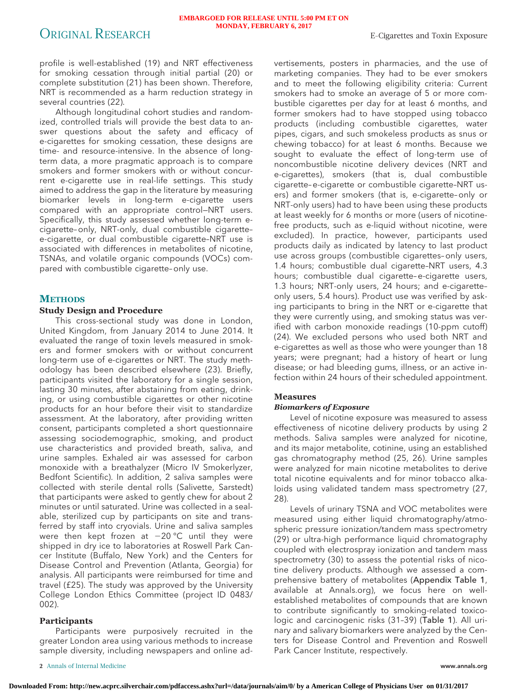profile is well-established (19) and NRT effectiveness for smoking cessation through initial partial (20) or complete substitution (21) has been shown. Therefore, NRT is recommended as a harm reduction strategy in several countries (22).

Although longitudinal cohort studies and randomized, controlled trials will provide the best data to answer questions about the safety and efficacy of e-cigarettes for smoking cessation, these designs are time- and resource-intensive. In the absence of longterm data, a more pragmatic approach is to compare smokers and former smokers with or without concurrent e-cigarette use in real-life settings. This study aimed to address the gap in the literature by measuring biomarker levels in long-term e-cigarette users compared with an appropriate control—NRT users. Specifically, this study assessed whether long-term ecigarette–only, NRT-only, dual combustible cigarette– e-cigarette, or dual combustible cigarette–NRT use is associated with differences in metabolites of nicotine, TSNAs, and volatile organic compounds (VOCs) compared with combustible cigarette–only use.

# **METHODS**

## **Study Design and Procedure**

This cross-sectional study was done in London, United Kingdom, from January 2014 to June 2014. It evaluated the range of toxin levels measured in smokers and former smokers with or without concurrent long-term use of e-cigarettes or NRT. The study methodology has been described elsewhere (23). Briefly, participants visited the laboratory for a single session, lasting 30 minutes, after abstaining from eating, drinking, or using combustible cigarettes or other nicotine products for an hour before their visit to standardize assessment. At the laboratory, after providing written consent, participants completed a short questionnaire assessing sociodemographic, smoking, and product use characteristics and provided breath, saliva, and urine samples. Exhaled air was assessed for carbon monoxide with a breathalyzer (Micro IV Smokerlyzer, Bedfont Scientific). In addition, 2 saliva samples were collected with sterile dental rolls (Salivette, Sarstedt) that participants were asked to gently chew for about 2 minutes or until saturated. Urine was collected in a sealable, sterilized cup by participants on site and transferred by staff into cryovials. Urine and saliva samples were then kept frozen at –20 °C until they were shipped in dry ice to laboratories at Roswell Park Cancer Institute (Buffalo, New York) and the Centers for Disease Control and Prevention (Atlanta, Georgia) for analysis. All participants were reimbursed for time and travel (£25). The study was approved by the University College London Ethics Committee (project ID 0483/ 002).

# **Participants**

Participants were purposively recruited in the greater London area using various methods to increase sample diversity, including newspapers and online advertisements, posters in pharmacies, and the use of marketing companies. They had to be ever smokers and to meet the following eligibility criteria: Current smokers had to smoke an average of 5 or more combustible cigarettes per day for at least 6 months, and former smokers had to have stopped using tobacco products (including combustible cigarettes, water pipes, cigars, and such smokeless products as snus or chewing tobacco) for at least 6 months. Because we sought to evaluate the effect of long-term use of noncombustible nicotine delivery devices (NRT and e-cigarettes), smokers (that is, dual combustible cigarette– e-cigarette or combustible cigarette–NRT users) and former smokers (that is, e-cigarette–only or NRT-only users) had to have been using these products at least weekly for 6 months or more (users of nicotinefree products, such as e-liquid without nicotine, were excluded). In practice, however, participants used products daily as indicated by latency to last product use across groups (combustible cigarettes–only users, 1.4 hours; combustible dual cigarette–NRT users, 4.3 hours; combustible dual cigarette– e-cigarette users, 1.3 hours; NRT-only users, 24 hours; and e-cigarette– only users, 5.4 hours). Product use was verified by asking participants to bring in the NRT or e-cigarette that they were currently using, and smoking status was verified with carbon monoxide readings (10-ppm cutoff) (24). We excluded persons who used both NRT and e-cigarettes as well as those who were younger than 18 years; were pregnant; had a history of heart or lung disease; or had bleeding gums, illness, or an active infection within 24 hours of their scheduled appointment.

### **Measures**

### *Biomarkers of Exposure*

Level of nicotine exposure was measured to assess effectiveness of nicotine delivery products by using 2 methods. Saliva samples were analyzed for nicotine, and its major metabolite, cotinine, using an established gas chromatography method (25, 26). Urine samples were analyzed for main nicotine metabolites to derive total nicotine equivalents and for minor tobacco alkaloids using validated tandem mass spectrometry (27, 28).

Levels of urinary TSNA and VOC metabolites were measured using either liquid chromatography/atmospheric pressure ionization/tandem mass spectrometry (29) or ultra-high performance liquid chromatography coupled with electrospray ionization and tandem mass spectrometry (30) to assess the potential risks of nicotine delivery products. Although we assessed a comprehensive battery of metabolites (Appendix Table 1, available at [Annals.org\)](http://www.annals.org), we focus here on wellestablished metabolites of compounds that are known to contribute significantly to smoking-related toxicologic and carcinogenic risks (31–39) (Table 1). All urinary and salivary biomarkers were analyzed by the Centers for Disease Control and Prevention and Roswell Park Cancer Institute, respectively.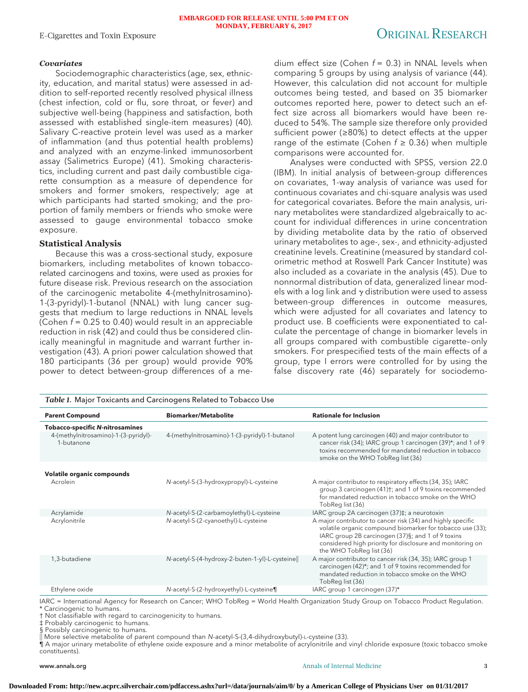# *Covariates*

Sociodemographic characteristics (age, sex, ethnicity, education, and marital status) were assessed in addition to self-reported recently resolved physical illness (chest infection, cold or flu, sore throat, or fever) and subjective well-being (happiness and satisfaction, both assessed with established single-item measures) (40). Salivary C-reactive protein level was used as a marker of inflammation (and thus potential health problems) and analyzed with an enzyme-linked immunosorbent assay (Salimetrics Europe) (41). Smoking characteristics, including current and past daily combustible cigarette consumption as a measure of dependence for smokers and former smokers, respectively; age at which participants had started smoking; and the proportion of family members or friends who smoke were assessed to gauge environmental tobacco smoke exposure.

## **Statistical Analysis**

Because this was a cross-sectional study, exposure biomarkers, including metabolites of known tobaccorelated carcinogens and toxins, were used as proxies for future disease risk. Previous research on the association of the carcinogenic metabolite 4-(methylnitrosamino)- 1-(3-pyridyl)-1-butanol (NNAL) with lung cancer suggests that medium to large reductions in NNAL levels (Cohen  $f = 0.25$  to 0.40) would result in an appreciable reduction in risk (42) and could thus be considered clinically meaningful in magnitude and warrant further investigation (43). A priori power calculation showed that 180 participants (36 per group) would provide 90% power to detect between-group differences of a medium effect size (Cohen  $f = 0.3$ ) in NNAL levels when comparing 5 groups by using analysis of variance (44). However, this calculation did not account for multiple outcomes being tested, and based on 35 biomarker outcomes reported here, power to detect such an effect size across all biomarkers would have been reduced to 54%. The sample size therefore only provided sufficient power (≥80%) to detect effects at the upper range of the estimate (Cohen  $f \ge 0.36$ ) when multiple comparisons were accounted for.

Analyses were conducted with SPSS, version 22.0 (IBM). In initial analysis of between-group differences on covariates, 1-way analysis of variance was used for continuous covariates and chi-square analysis was used for categorical covariates. Before the main analysis, urinary metabolites were standardized algebraically to account for individual differences in urine concentration by dividing metabolite data by the ratio of observed urinary metabolites to age-, sex-, and ethnicity-adjusted creatinine levels. Creatinine (measured by standard colorimetric method at Roswell Park Cancer Institute) was also included as a covariate in the analysis (45). Due to nonnormal distribution of data, generalized linear models with a log link and  $\gamma$  distribution were used to assess between-group differences in outcome measures, which were adjusted for all covariates and latency to product use. B coefficients were exponentiated to calculate the percentage of change in biomarker levels in all groups compared with combustible cigarette–only smokers. For prespecified tests of the main effects of a group, type I errors were controlled for by using the false discovery rate (46) separately for sociodemo-

| <b>Parent Compound</b>                             | <b>Biomarker/Metabolite</b>                    | <b>Rationale for Inclusion</b>                                                                                                                                                                                                                                         |
|----------------------------------------------------|------------------------------------------------|------------------------------------------------------------------------------------------------------------------------------------------------------------------------------------------------------------------------------------------------------------------------|
| <b>Tobacco-specific N-nitrosamines</b>             |                                                |                                                                                                                                                                                                                                                                        |
| 4-(methylnitrosamino)-1-(3-pyridyl)-<br>1-butanone | 4-(methylnitrosamino)-1-(3-pyridyl)-1-butanol  | A potent lung carcinogen (40) and major contributor to<br>cancer risk (34); IARC group 1 carcinogen (39)*; and 1 of 9<br>toxins recommended for mandated reduction in tobacco<br>smoke on the WHO TobReg list (36)                                                     |
| Volatile organic compounds                         |                                                |                                                                                                                                                                                                                                                                        |
| Acrolein                                           | N-acetyl-S-(3-hydroxypropyl)-L-cysteine        | A major contributor to respiratory effects (34, 35); IARC<br>group 3 carcinogen (41)†; and 1 of 9 toxins recommended<br>for mandated reduction in tobacco smoke on the WHO<br>TobReg list (36)                                                                         |
| Acrylamide                                         | N-acetyl-S-(2-carbamoylethyl)-L-cysteine       | IARC group 2A carcinogen (37)‡; a neurotoxin                                                                                                                                                                                                                           |
| Acrylonitrile                                      | N-acetyl-S-(2-cyanoethyl)-L-cysteine           | A major contributor to cancer risk (34) and highly specific<br>volatile organic compound biomarker for tobacco use (33);<br>IARC group 2B carcinogen (37)§; and 1 of 9 toxins<br>considered high priority for disclosure and monitoring on<br>the WHO TobReg list (36) |
| 1,3-butadiene                                      | N-acetyl-S-(4-hydroxy-2-buten-1-yl)-L-cysteine | A major contributor to cancer risk (34, 35); IARC group 1<br>carcinogen (42)*; and 1 of 9 toxins recommended for<br>mandated reduction in tobacco smoke on the WHO<br>TobReg list (36)                                                                                 |
| Ethylene oxide                                     | N-acetyl-S-(2-hydroxyethyl)-L-cysteine¶        | IARC group 1 carcinogen (37)*                                                                                                                                                                                                                                          |

IARC = International Agency for Research on Cancer; WHO TobReg = World Health Organization Study Group on Tobacco Product Regulation. \* Carcinogenic to humans.

† Not classifiable with regard to carcinogenicity to humans.

‡ Probably carcinogenic to humans.

§ Possibly carcinogenic to humans.

-- More selective metabolite of parent compound than N-acetyl-S-(3,4-dihydroxybutyl)-L-cysteine (33).

¶ A major urinary metabolite of ethylene oxide exposure and a minor metabolite of acrylonitrile and vinyl chloride exposure (toxic tobacco smoke constituents).

### www.annals.org **3 3**

#### **Downloaded From: http://new.acprc.silverchair.com/pdfaccess.ashx?url=/data/journals/aim/0/ by a American College of Physicians User on 01/31/2017**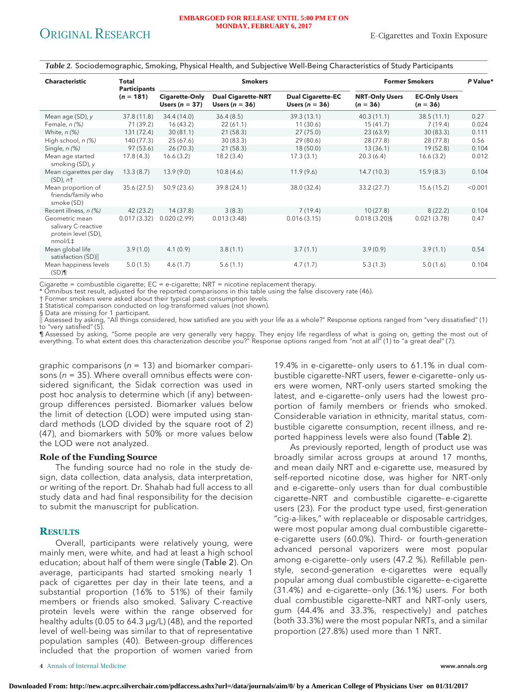| <b>Characteristic</b>                                                               | Total<br><b>Participants</b> |                                           | <b>Smokers</b>                                |                                              |                                     | <b>Former Smokers</b>              | P Value* |
|-------------------------------------------------------------------------------------|------------------------------|-------------------------------------------|-----------------------------------------------|----------------------------------------------|-------------------------------------|------------------------------------|----------|
|                                                                                     | $(n = 181)$                  | <b>Cigarette-Only</b><br>Users $(n = 37)$ | <b>Dual Cigarette-NRT</b><br>Users $(n = 36)$ | <b>Dual Cigarette-EC</b><br>Users $(n = 36)$ | <b>NRT-Only Users</b><br>$(n = 36)$ | <b>EC-Only Users</b><br>$(n = 36)$ |          |
| Mean age (SD), y                                                                    | 37.8 (11.8)                  | 34.4 (14.0)                               | 36.4(8.5)                                     | 39.3 (13.1)                                  | 40.3(11.1)                          | 38.5(11.1)                         | 0.27     |
| Female, n (%)                                                                       | 71 (39.2)                    | 16(43.2)                                  | 22(61.1)                                      | 11(30.6)                                     | 15(41.7)                            | 7(19.4)                            | 0.024    |
| White, $n$ $(\%)$                                                                   | 131 (72.4)                   | 30(81.1)                                  | 21(58.3)                                      | 27(75.0)                                     | 23(63.9)                            | 30(83.3)                           | 0.111    |
| High school, n (%)                                                                  | 140 (77.3)                   | 25(67.6)                                  | 30(83.3)                                      | 29 (80.6)                                    | 28 (77.8)                           | 28 (77.8)                          | 0.56     |
| Single, $n$ $(\%)$                                                                  | 97 (53.6)                    | 26(70.3)                                  | 21(58.3)                                      | 18(50.0)                                     | 13(36.1)                            | 19(52.8)                           | 0.104    |
| Mean age started<br>smoking (SD), y                                                 | 17.8(4.3)                    | 16.6(3.2)                                 | 18.2(3.4)                                     | 17.3(3.1)                                    | 20.3(6.4)                           | 16.6(3.2)                          | 0.012    |
| Mean cigarettes per day<br>$(SD)$ , $n+$                                            | 13.3(8.7)                    | 13.9(9.0)                                 | 10.8(4.6)                                     | 11.9(9.6)                                    | 14.7(10.3)                          | 15.9(8.3)                          | 0.104    |
| Mean proportion of<br>friends/family who<br>smoke (SD)                              | 35.6(27.5)                   | 50.9(23.6)                                | 39.8 (24.1)                                   | 38.0 (32.4)                                  | 33.2(27.7)                          | 15.6 (15.2)                        | < 0.001  |
| Recent illness, n (%)                                                               | 42 (23.2)                    | 14(37.8)                                  | 3(8.3)                                        | 7(19.4)                                      | 10(27.8)                            | 8(22.2)                            | 0.104    |
| Geometric mean<br>salivary C-reactive<br>protein level (SD),<br>nmol/L <sup>±</sup> | 0.017(3.32)                  | 0.020(2.99)                               | 0.013(3.48)                                   | 0.016(3.15)                                  | $0.018(3.20)$ §                     | 0.021(3.78)                        | 0.47     |
| Mean global life<br>satisfaction (SD)                                               | 3.9(1.0)                     | 4.1(0.9)                                  | 3.8(1.1)                                      | 3.7(1.1)                                     | 3.9(0.9)                            | 3.9(1.1)                           | 0.54     |
| Mean happiness levels<br>$(SD)$ ¶                                                   | 5.0(1.5)                     | 4.6(1.7)                                  | 5.6(1.1)                                      | 4.7(1.7)                                     | 5.3(1.3)                            | 5.0(1.6)                           | 0.104    |

*Table 2.* Sociodemographic, Smoking, Physical Health, and Subjective Well-Being Characteristics of Study Participants

Cigarette = combustible cigarette; EC = e-cigarette; NRT = nicotine replacement therapy.

\* Omnibus test result, adjusted for the reported comparisons in this table using the false discovery rate (46).

† Former smokers were asked about their typical past consumption levels.

‡ Statistical comparison conducted on log-transformed values (not shown).

§ Data are missing for 1 participant.

-- Assessed by asking, "All things considered, how satisfied are you with your life as a whole?" Response options ranged from "very dissatisfied" (1) to "very satisfied" (5).

¶ Assessed by asking, "Some people are very generally very happy. They enjoy life regardless of what is going on, getting the most out of everything. To what extent does this characterization describe you?" Response options ranged from "not at all" (1) to "a great deal" (7).

graphic comparisons ( $n = 13$ ) and biomarker comparisons ( $n = 35$ ). Where overall omnibus effects were considered significant, the Sidak correction was used in post hoc analysis to determine which (if any) betweengroup differences persisted. Biomarker values below the limit of detection (LOD) were imputed using standard methods (LOD divided by the square root of 2) (47), and biomarkers with 50% or more values below the LOD were not analyzed.

# **Role of the Funding Source**

The funding source had no role in the study design, data collection, data analysis, data interpretation, or writing of the report. Dr. Shahab had full access to all study data and had final responsibility for the decision to submit the manuscript for publication.

# **RESULTS**

Overall, participants were relatively young, were mainly men, were white, and had at least a high school education; about half of them were single (Table 2). On average, participants had started smoking nearly 1 pack of cigarettes per day in their late teens, and a substantial proportion (16% to 51%) of their family members or friends also smoked. Salivary C-reactive protein levels were within the range observed for healthy adults (0.05 to 64.3 μg/L) (48), and the reported level of well-being was similar to that of representative population samples (40). Between-group differences included that the proportion of women varied from

19.4% in e-cigarette–only users to 61.1% in dual combustible cigarette–NRT users, fewer e-cigarette–only users were women, NRT-only users started smoking the latest, and e-cigarette–only users had the lowest proportion of family members or friends who smoked. Considerable variation in ethnicity, marital status, combustible cigarette consumption, recent illness, and reported happiness levels were also found (Table 2).

As previously reported, length of product use was broadly similar across groups at around 17 months, and mean daily NRT and e-cigarette use, measured by self-reported nicotine dose, was higher for NRT-only and e-cigarette–only users than for dual combustible cigarette–NRT and combustible cigarette– e-cigarette users (23). For the product type used, first-generation "cig-a-likes," with replaceable or disposable cartridges, were most popular among dual combustible cigarette– e-cigarette users (60.0%). Third- or fourth-generation advanced personal vaporizers were most popular among e-cigarette–only users (47.2 %). Refillable penstyle, second-generation e-cigarettes were equally popular among dual combustible cigarette– e-cigarette (31.4%) and e-cigarette–only (36.1%) users. For both dual combustible cigarette–NRT and NRT-only users, gum (44.4% and 33.3%, respectively) and patches (both 33.3%) were the most popular NRTs, and a similar proportion (27.8%) used more than 1 NRT.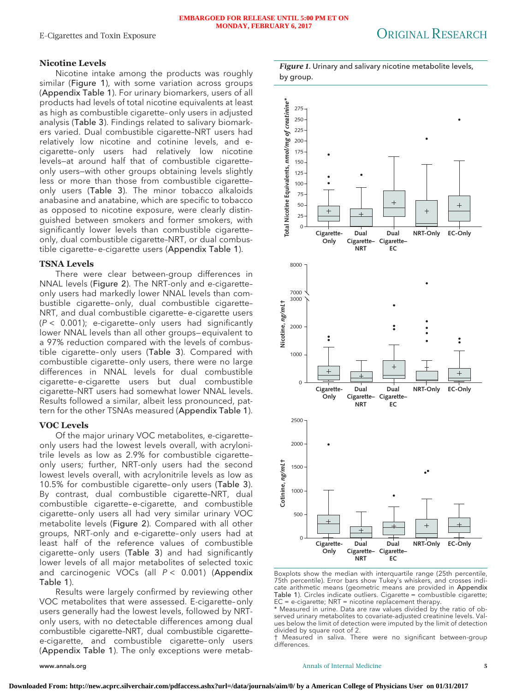# **Nicotine Levels**

Nicotine intake among the products was roughly similar (Figure 1), with some variation across groups (Appendix Table 1). For urinary biomarkers, users of all products had levels of total nicotine equivalents at least as high as combustible cigarette–only users in adjusted analysis (Table 3). Findings related to salivary biomarkers varied. Dual combustible cigarette–NRT users had relatively low nicotine and cotinine levels, and ecigarette–only users had relatively low nicotine levels—at around half that of combustible cigarette– only users—with other groups obtaining levels slightly less or more than those from combustible cigarette– only users (Table 3). The minor tobacco alkaloids anabasine and anatabine, which are specific to tobacco as opposed to nicotine exposure, were clearly distinguished between smokers and former smokers, with significantly lower levels than combustible cigarette– only, dual combustible cigarette–NRT, or dual combustible cigarette– e-cigarette users (Appendix Table 1).

# **TSNA Levels**

There were clear between-group differences in NNAL levels (Figure 2). The NRT-only and e-cigarette– only users had markedly lower NNAL levels than combustible cigarette–only, dual combustible cigarette– NRT, and dual combustible cigarette– e-cigarette users  $(P < 0.001)$ ; e-cigarette-only users had significantly lower NNAL levels than all other groups— equivalent to a 97% reduction compared with the levels of combustible cigarette–only users (Table 3). Compared with combustible cigarette–only users, there were no large differences in NNAL levels for dual combustible cigarette– e-cigarette users but dual combustible cigarette–NRT users had somewhat lower NNAL levels. Results followed a similar, albeit less pronounced, pattern for the other TSNAs measured (Appendix Table 1).

# **VOC Levels**

Of the major urinary VOC metabolites, e-cigarette– only users had the lowest levels overall, with acrylonitrile levels as low as 2.9% for combustible cigarette– only users; further, NRT-only users had the second lowest levels overall, with acrylonitrile levels as low as 10.5% for combustible cigarette–only users (Table 3). By contrast, dual combustible cigarette–NRT, dual combustible cigarette– e-cigarette, and combustible cigarette–only users all had very similar urinary VOC metabolite levels (Figure 2). Compared with all other groups, NRT-only and e-cigarette–only users had at least half of the reference values of combustible cigarette–only users (Table 3) and had significantly lower levels of all major metabolites of selected toxic and carcinogenic VOCs (all  $P < 0.001$ ) (Appendix Table 1).

Results were largely confirmed by reviewing other VOC metabolites that were assessed. E-cigarette–only users generally had the lowest levels, followed by NRTonly users, with no detectable differences among dual combustible cigarette–NRT, dual combustible cigarette– e-cigarette, and combustible cigarette–only users (Appendix Table 1). The only exceptions were metab-

*Figure 1.* Urinary and salivary nicotine metabolite levels, by group.



Boxplots show the median with interquartile range (25th percentile, 75th percentile). Error bars show Tukey's whiskers, and crosses indicate arithmetic means (geometric means are provided in Appendix Table 1). Circles indicate outliers. Cigarette = combustible cigarette;  $EC = e\text{-}cigartte$ ; NRT = nicotine replacement therapy.

\* Measured in urine. Data are raw values divided by the ratio of observed urinary metabolites to covariate-adjusted creatinine levels. Values below the limit of detection were imputed by the limit of detection divided by square root of 2.

† Measured in saliva. There were no significant between-group differences.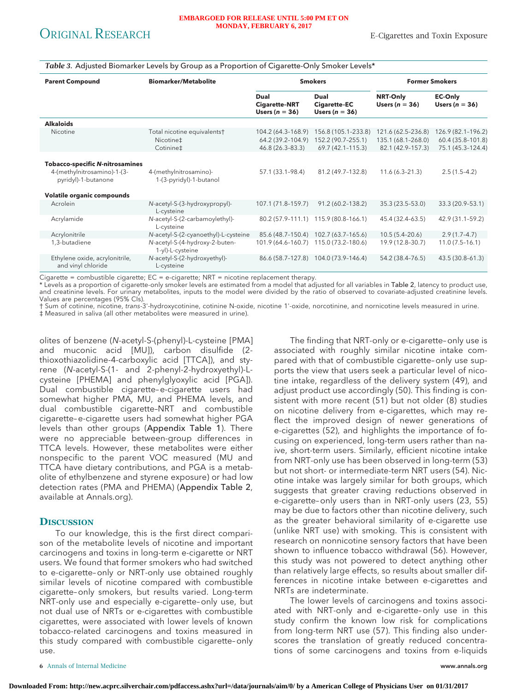#### *Table 3.* Adjusted Biomarker Levels by Group as a Proportion of Cigarette-Only Smoker Levels\*

| <b>Parent Compound</b>                                                                       | <b>Biomarker/Metabolite</b>                           |                                                             | <b>Smokers</b>                                                    |                                                               | <b>Former Smokers</b>                                        |
|----------------------------------------------------------------------------------------------|-------------------------------------------------------|-------------------------------------------------------------|-------------------------------------------------------------------|---------------------------------------------------------------|--------------------------------------------------------------|
|                                                                                              |                                                       | Dual<br><b>Cigarette-NRT</b><br>Users $(n = 36)$            | Dual<br>Cigarette-EC<br>Users $(n = 36)$                          | <b>NRT-Only</b><br>Users ( $n = 36$ )                         | <b>EC-Only</b><br>Users ( $n = 36$ )                         |
| <b>Alkaloids</b>                                                                             |                                                       |                                                             |                                                                   |                                                               |                                                              |
| Nicotine                                                                                     | Total nicotine equivalents†<br>Nicotine‡<br>Cotinine‡ | 104.2 (64.3-168.9)<br>64.2 (39.2-104.9)<br>46.8 (26.3-83.3) | 156.8 (105.1-233.8)<br>152.2 (90.7-255.1)<br>$69.7(42.1 - 115.3)$ | 121.6 (62.5-236.8)<br>135.1 (68.1-268.0)<br>82.1 (42.9-157.3) | 126.9 (82.1-196.2)<br>60.4 (35.8-101.8)<br>75.1 (45.3-124.4) |
|                                                                                              |                                                       |                                                             |                                                                   |                                                               |                                                              |
| <b>Tobacco-specific N-nitrosamines</b><br>4-(methylnitrosamino)-1-(3-<br>pyridyl)-1-butanone | 4-(methylnitrosamino)-<br>1-(3-pyridyl)-1-butanol     | 57.1 (33.1-98.4)                                            | 81.2 (49.7-132.8)                                                 | $11.6(6.3 - 21.3)$                                            | $2.5(1.5-4.2)$                                               |
| Volatile organic compounds                                                                   |                                                       |                                                             |                                                                   |                                                               |                                                              |
| Acrolein                                                                                     | N-acetyl-S-(3-hydroxypropyl)-<br>L-cysteine           | 107.1 (71.8-159.7)                                          | 91.2 (60.2-138.2)                                                 | 35.3 (23.5-53.0)                                              | 33.3 (20.9-53.1)                                             |
| Acrylamide                                                                                   | N-acetyl-S-(2-carbamoylethyl)-<br>L-cysteine          |                                                             | 80.2 (57.9-111.1) 115.9 (80.8-166.1)                              | 45.4 (32.4-63.5)                                              | 42.9 (31.1-59.2)                                             |
| Acrylonitrile                                                                                | N-acetyl-S-(2-cyanoethyl)-L-cysteine                  | 85.6 (48.7-150.4)                                           | 102.7 (63.7-165.6)                                                | $10.5(5.4 - 20.6)$                                            | $2.9(1.7-4.7)$                                               |
| 1,3-butadiene                                                                                | N-acetyl-S-(4-hydroxy-2-buten-<br>1-yl)-L-cysteine    | 101.9 (64.6-160.7)                                          | 115.0 (73.2-180.6)                                                | 19.9 (12.8–30.7)                                              | $11.0(7.5-16.1)$                                             |
| Ethylene oxide, acrylonitrile,<br>and vinyl chloride                                         | N-acetyl-S-(2-hydroxyethyl)-<br>L-cysteine            |                                                             | 86.6 (58.7-127.8) 104.0 (73.9-146.4)                              | 54.2 (38.4-76.5)                                              | 43.5 (30.8-61.3)                                             |

Cigarette = combustible cigarette; EC = e-cigarette; NRT = nicotine replacement therapy.

\* Levels as a proportion of cigarette-only smoker levels are estimated from a model that adjusted for all variables in Table 2, latency to product use, and creatinine levels. For urinary metabolites, inputs to the model were divided by the ratio of observed to covariate-adjusted creatinine levels. Values are percentages (95% CIs).

† Sum of cotinine, nicotine, trans-3'-hydroxycotinine, cotinine N-oxide, nicotine 1'-oxide, norcotinine, and nornicotine levels measured in urine. ‡ Measured in saliva (all other metabolites were measured in urine).

olites of benzene (N-acetyl-S-(phenyl)-L-cysteine [PMA] and muconic acid [MU]), carbon disulfide (2 thioxothiazolidine-4-carboxylic acid [TTCA]), and styrene (N-acetyl-S-(1- and 2-phenyl-2-hydroxyethyl)-Lcysteine [PHEMA] and phenylglyoxylic acid [PGA]). Dual combustible cigarette-e-cigarette users had somewhat higher PMA, MU, and PHEMA levels, and dual combustible cigarette–NRT and combustible cigarette– e-cigarette users had somewhat higher PGA levels than other groups (Appendix Table 1). There were no appreciable between-group differences in TTCA levels. However, these metabolites were either nonspecific to the parent VOC measured (MU and TTCA have dietary contributions, and PGA is a metabolite of ethylbenzene and styrene exposure) or had low detection rates (PMA and PHEMA) (Appendix Table 2, available at [Annals.org\)](http://www.annals.org).

# **DISCUSSION**

To our knowledge, this is the first direct comparison of the metabolite levels of nicotine and important carcinogens and toxins in long-term e-cigarette or NRT users. We found that former smokers who had switched to e-cigarette–only or NRT-only use obtained roughly similar levels of nicotine compared with combustible cigarette–only smokers, but results varied. Long-term NRT-only use and especially e-cigarette–only use, but not dual use of NRTs or e-cigarettes with combustible cigarettes, were associated with lower levels of known tobacco-related carcinogens and toxins measured in this study compared with combustible cigarette–only use.

The finding that NRT-only or e-cigarette–only use is associated with roughly similar nicotine intake compared with that of combustible cigarette–only use supports the view that users seek a particular level of nicotine intake, regardless of the delivery system (49), and adjust product use accordingly (50). This finding is consistent with more recent (51) but not older (8) studies on nicotine delivery from e-cigarettes, which may reflect the improved design of newer generations of e-cigarettes (52), and highlights the importance of focusing on experienced, long-term users rather than naive, short-term users. Similarly, efficient nicotine intake from NRT-only use has been observed in long-term (53) but not short- or intermediate-term NRT users (54). Nicotine intake was largely similar for both groups, which suggests that greater craving reductions observed in e-cigarette–only users than in NRT-only users (23, 55) may be due to factors other than nicotine delivery, such as the greater behavioral similarity of e-cigarette use (unlike NRT use) with smoking. This is consistent with research on nonnicotine sensory factors that have been shown to influence tobacco withdrawal (56). However, this study was not powered to detect anything other than relatively large effects, so results about smaller differences in nicotine intake between e-cigarettes and NRTs are indeterminate.

The lower levels of carcinogens and toxins associated with NRT-only and e-cigarette–only use in this study confirm the known low risk for complications from long-term NRT use (57). This finding also underscores the translation of greatly reduced concentrations of some carcinogens and toxins from e-liquids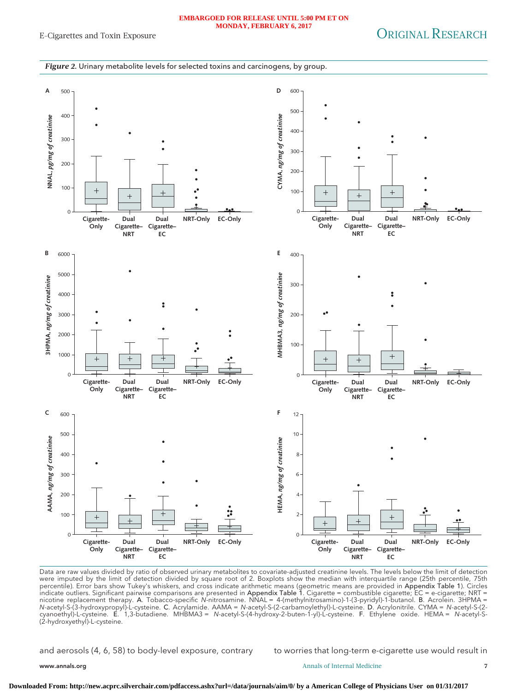#### **EMBARGOED FOR RELEASE UNTIL 5:00 PM ET ON MONDAY, FEBRUARY 6, 2017**

#### *Figure 2.* Urinary metabolite levels for selected toxins and carcinogens, by group.



Data are raw values divided by ratio of observed urinary metabolites to covariate-adjusted creatinine levels. The levels below the limit of detection were imputed by the limit of detection divided by square root of 2. Boxplots show the median with interquartile range (25th percentile, 75th percentile). Error bars show Tukey's whiskers, and cross indicate arithmetic means (geometric means are provided in Appendix Table 1). Circles indicate outliers. Significant pairwise comparisons are presented in Appendix Table 1. Cigarette = combustible cigarette; EC = e-cigarette; NRT = nicotine replacement therapy. A. Tobacco-specific N-nitrosamine. NNAL = 4-(methylnitrosamino)-1-(3-pyridyl)-1-butanol. B. Acrolein. 3HPMA = N-acetyl-S-(3-hydroxypropyl)-L-cysteine. C. Acrylamide. AAMA = N-acetyl-S-(2-carbamoylethyl)-L-cysteine. D. Acrylonitrile. CYMA = N-acetyl-S-(2 cyanoethyl)-L-cysteine. E. 1,3-butadiene. MHBMA3 = N-acetyl-S-(4-hydroxy-2-buten-1-yl)-L-cysteine. F. Ethylene oxide. HEMA = N-acetyl-S- (2-hydroxyethyl)-L-cysteine.

and aerosols (4, 6, 58) to body-level exposure, contrary to worries that long-term e-cigarette use would result in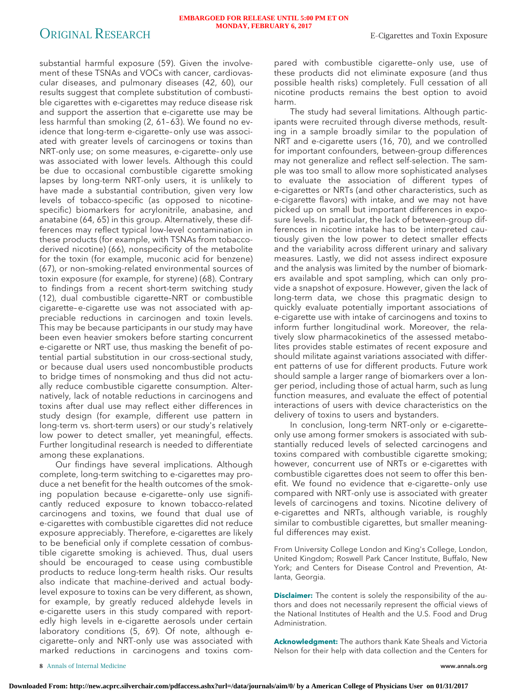substantial harmful exposure (59). Given the involvement of these TSNAs and VOCs with cancer, cardiovascular diseases, and pulmonary diseases (42, 60), our results suggest that complete substitution of combustible cigarettes with e-cigarettes may reduce disease risk and support the assertion that e-cigarette use may be less harmful than smoking (2, 61– 63). We found no evidence that long-term e-cigarette–only use was associated with greater levels of carcinogens or toxins than NRT-only use; on some measures, e-cigarette–only use was associated with lower levels. Although this could be due to occasional combustible cigarette smoking lapses by long-term NRT-only users, it is unlikely to have made a substantial contribution, given very low levels of tobacco-specific (as opposed to nicotinespecific) biomarkers for acrylonitrile, anabasine, and anatabine (64, 65) in this group. Alternatively, these differences may reflect typical low-level contamination in these products (for example, with TSNAs from tobaccoderived nicotine) (66), nonspecificity of the metabolite for the toxin (for example, muconic acid for benzene) (67), or non–smoking-related environmental sources of toxin exposure (for example, for styrene) (68). Contrary to findings from a recent short-term switching study (12), dual combustible cigarette–NRT or combustible cigarette– e-cigarette use was not associated with appreciable reductions in carcinogen and toxin levels. This may be because participants in our study may have been even heavier smokers before starting concurrent e-cigarette or NRT use, thus masking the benefit of potential partial substitution in our cross-sectional study, or because dual users used noncombustible products to bridge times of nonsmoking and thus did not actually reduce combustible cigarette consumption. Alternatively, lack of notable reductions in carcinogens and toxins after dual use may reflect either differences in study design (for example, different use pattern in long-term vs. short-term users) or our study's relatively low power to detect smaller, yet meaningful, effects. Further longitudinal research is needed to differentiate among these explanations.

Our findings have several implications. Although complete, long-term switching to e-cigarettes may produce a net benefit for the health outcomes of the smoking population because e-cigarette–only use significantly reduced exposure to known tobacco-related carcinogens and toxins, we found that dual use of e-cigarettes with combustible cigarettes did not reduce exposure appreciably. Therefore, e-cigarettes are likely to be beneficial only if complete cessation of combustible cigarette smoking is achieved. Thus, dual users should be encouraged to cease using combustible products to reduce long-term health risks. Our results also indicate that machine-derived and actual bodylevel exposure to toxins can be very different, as shown, for example, by greatly reduced aldehyde levels in e-cigarette users in this study compared with reportedly high levels in e-cigarette aerosols under certain laboratory conditions (5, 69). Of note, although ecigarette–only and NRT-only use was associated with marked reductions in carcinogens and toxins com-

pared with combustible cigarette–only use, use of these products did not eliminate exposure (and thus possible health risks) completely. Full cessation of all nicotine products remains the best option to avoid harm.

The study had several limitations. Although participants were recruited through diverse methods, resulting in a sample broadly similar to the population of NRT and e-cigarette users (16, 70), and we controlled for important confounders, between-group differences may not generalize and reflect self-selection. The sample was too small to allow more sophisticated analyses to evaluate the association of different types of e-cigarettes or NRTs (and other characteristics, such as e-cigarette flavors) with intake, and we may not have picked up on small but important differences in exposure levels. In particular, the lack of between-group differences in nicotine intake has to be interpreted cautiously given the low power to detect smaller effects and the variability across different urinary and salivary measures. Lastly, we did not assess indirect exposure and the analysis was limited by the number of biomarkers available and spot sampling, which can only provide a snapshot of exposure. However, given the lack of long-term data, we chose this pragmatic design to quickly evaluate potentially important associations of e-cigarette use with intake of carcinogens and toxins to inform further longitudinal work. Moreover, the relatively slow pharmacokinetics of the assessed metabolites provides stable estimates of recent exposure and should militate against variations associated with different patterns of use for different products. Future work should sample a larger range of biomarkers over a longer period, including those of actual harm, such as lung function measures, and evaluate the effect of potential interactions of users with device characteristics on the delivery of toxins to users and bystanders.

In conclusion, long-term NRT-only or e-cigarette– only use among former smokers is associated with substantially reduced levels of selected carcinogens and toxins compared with combustible cigarette smoking; however, concurrent use of NRTs or e-cigarettes with combustible cigarettes does not seem to offer this benefit. We found no evidence that e-cigarette–only use compared with NRT-only use is associated with greater levels of carcinogens and toxins. Nicotine delivery of e-cigarettes and NRTs, although variable, is roughly similar to combustible cigarettes, but smaller meaningful differences may exist.

From University College London and King's College, London, United Kingdom; Roswell Park Cancer Institute, Buffalo, New York; and Centers for Disease Control and Prevention, Atlanta, Georgia.

**Disclaimer:** The content is solely the responsibility of the authors and does not necessarily represent the official views of the National Institutes of Health and the U.S. Food and Drug Administration.

**Acknowledgment:** The authors thank Kate Sheals and Victoria Nelson for their help with data collection and the Centers for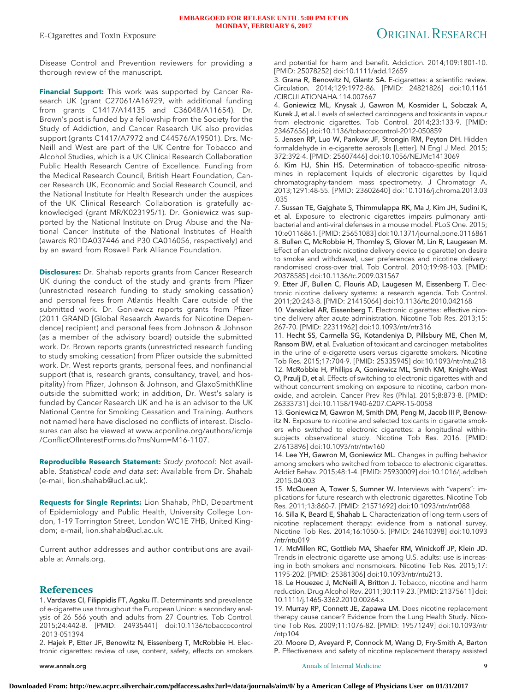Disease Control and Prevention reviewers for providing a thorough review of the manuscript.

**Financial Support:** This work was supported by Cancer Research UK (grant C27061/A16929, with additional funding from grants C1417/A14135 and C36048/A11654). Dr. Brown's post is funded by a fellowship from the Society for the Study of Addiction, and Cancer Research UK also provides support (grants C1417/A7972 and C44576/A19501). Drs. Mc-Neill and West are part of the UK Centre for Tobacco and Alcohol Studies, which is a UK Clinical Research Collaboration Public Health Research Centre of Excellence. Funding from the Medical Research Council, British Heart Foundation, Cancer Research UK, Economic and Social Research Council, and the National Institute for Health Research under the auspices of the UK Clinical Research Collaboration is gratefully acknowledged (grant MR/K023195/1). Dr. Goniewicz was supported by the National Institute on Drug Abuse and the National Cancer Institute of the National Institutes of Health (awards R01DA037446 and P30 CA016056, respectively) and by an award from Roswell Park Alliance Foundation.

**Disclosures:** Dr. Shahab reports grants from Cancer Research UK during the conduct of the study and grants from Pfizer (unrestricted research funding to study smoking cessation) and personal fees from Atlantis Health Care outside of the submitted work. Dr. Goniewicz reports grants from Pfizer (2011 GRAND [Global Research Awards for Nicotine Dependence] recipient) and personal fees from Johnson & Johnson (as a member of the advisory board) outside the submitted work. Dr. Brown reports grants (unrestricted research funding to study smoking cessation) from Pfizer outside the submitted work. Dr. West reports grants, personal fees, and nonfinancial support (that is, research grants, consultancy, travel, and hospitality) from Pfizer, Johnson & Johnson, and GlaxoSmithKline outside the submitted work; in addition, Dr. West's salary is funded by Cancer Research UK and he is an advisor to the UK National Centre for Smoking Cessation and Training. Authors not named here have disclosed no conflicts of interest. Disclosures can also be viewed at [www.acponline.org/authors/icmje](http://www.acponline.org/authors/icmje/ConflictOfInterestForms.do?msNum=M16-1107) [/ConflictOfInterestForms.do?msNum=M16-1107.](http://www.acponline.org/authors/icmje/ConflictOfInterestForms.do?msNum=M16-1107)

**Reproducible Research Statement:** Study protocol: Not available. Statistical code and data set: Available from Dr. Shahab (e-mail, [lion.shahab@ucl.ac.uk\)](mailto:lion.shahab@ucl.ac.uk).

**Requests for Single Reprints:** Lion Shahab, PhD, Department of Epidemiology and Public Health, University College London, 1-19 Torrington Street, London WC1E 7HB, United Kingdom; e-mail, [lion.shahab@ucl.ac.uk.](mailto:lion.shahab@ucl.ac.uk)

Current author addresses and author contributions are available at Annals.org.

# **References**

1. Vardavas CI, Filippidis FT, Agaku IT. Determinants and prevalence of e-cigarette use throughout the European Union: a secondary analysis of 26 566 youth and adults from 27 Countries. Tob Control. 2015;24:442-8. [PMID: 24935441] doi:10.1136/tobaccocontrol -2013-051394

2. Hajek P, Etter JF, Benowitz N, Eissenberg T, McRobbie H. Electronic cigarettes: review of use, content, safety, effects on smokers

and potential for harm and benefit. Addiction. 2014;109:1801-10. [PMID: 25078252] doi:10.1111/add.12659

3. Grana R, Benowitz N, Glantz SA. E-cigarettes: a scientific review. Circulation. 2014;129:1972-86. [PMID: 24821826] doi:10.1161 /CIRCULATIONAHA.114.007667

4. Goniewicz ML, Knysak J, Gawron M, Kosmider L, Sobczak A, Kurek J, et al. Levels of selected carcinogens and toxicants in vapour from electronic cigarettes. Tob Control. 2014;23:133-9. [PMID: 23467656] doi:10.1136/tobaccocontrol-2012-050859

5. Jensen RP, Luo W, Pankow JF, Strongin RM, Peyton DH. Hidden formaldehyde in e-cigarette aerosols [Letter]. N Engl J Med. 2015; 372:392-4. [PMID: 25607446] doi:10.1056/NEJMc1413069

6. Kim HJ, Shin HS. Determination of tobacco-specific nitrosamines in replacement liquids of electronic cigarettes by liquid chromatography-tandem mass spectrometry. J Chromatogr A. 2013;1291:48-55. [PMID: 23602640] doi:10.1016/j.chroma.2013.03 .035

7. Sussan TE, Gajghate S, Thimmulappa RK, Ma J, Kim JH, Sudini K, et al. Exposure to electronic cigarettes impairs pulmonary antibacterial and anti-viral defenses in a mouse model. PLoS One. 2015; 10:e0116861. [PMID: 25651083] doi:10.1371/journal.pone.0116861 8. Bullen C, McRobbie H, Thornley S, Glover M, Lin R, Laugesen M. Effect of an electronic nicotine delivery device (e cigarette) on desire to smoke and withdrawal, user preferences and nicotine delivery: randomised cross-over trial. Tob Control. 2010;19:98-103. [PMID: 20378585] doi:10.1136/tc.2009.031567

9. Etter JF, Bullen C, Flouris AD, Laugesen M, Eissenberg T. Electronic nicotine delivery systems: a research agenda. Tob Control. 2011;20:243-8. [PMID: 21415064] doi:10.1136/tc.2010.042168

10. Vansickel AR, Eissenberg T. Electronic cigarettes: effective nicotine delivery after acute administration. Nicotine Tob Res. 2013;15: 267-70. [PMID: 22311962] doi:10.1093/ntr/ntr316

11. Hecht SS, Carmella SG, Kotandeniya D, Pillsbury ME, Chen M, Ransom BW, et al. Evaluation of toxicant and carcinogen metabolites in the urine of e-cigarette users versus cigarette smokers. Nicotine Tob Res. 2015;17:704-9. [PMID: 25335945] doi:10.1093/ntr/ntu218 12. McRobbie H, Phillips A, Goniewicz ML, Smith KM, Knight-West O, Przulj D, et al. Effects of switching to electronic cigarettes with and without concurrent smoking on exposure to nicotine, carbon monoxide, and acrolein. Cancer Prev Res (Phila). 2015;8:873-8. [PMID: 26333731] doi:10.1158/1940-6207.CAPR-15-0058

13. Goniewicz M, Gawron M, Smith DM, Peng M, Jacob III P, Benowitz N. Exposure to nicotine and selected toxicants in cigarette smokers who switched to electronic cigarettes: a longitudinal withinsubjects observational study. Nicotine Tob Res. 2016. [PMID: 27613896] doi:10.1093/ntr/ntw160

14. Lee YH, Gawron M, Goniewicz ML. Changes in puffing behavior among smokers who switched from tobacco to electronic cigarettes. Addict Behav. 2015;48:1-4. [PMID: 25930009] doi:10.1016/j.addbeh .2015.04.003

15. McQueen A, Tower S, Sumner W. Interviews with "vapers": implications for future research with electronic cigarettes. Nicotine Tob Res. 2011;13:860-7. [PMID: 21571692] doi:10.1093/ntr/ntr088

16. Silla K, Beard E, Shahab L. Characterization of long-term users of nicotine replacement therapy: evidence from a national survey. Nicotine Tob Res. 2014;16:1050-5. [PMID: 24610398] doi:10.1093 /ntr/ntu019

17. McMillen RC, Gottlieb MA, Shaefer RM, Winickoff JP, Klein JD. Trends in electronic cigarette use among U.S. adults: use is increasing in both smokers and nonsmokers. Nicotine Tob Res. 2015;17: 1195-202. [PMID: 25381306] doi:10.1093/ntr/ntu213.

18. Le Houezec J, McNeill A, Britton J. Tobacco, nicotine and harm reduction. Drug Alcohol Rev. 2011;30:119-23. [PMID: 21375611] doi: 10.1111/j.1465-3362.2010.00264.x

19. Murray RP, Connett JE, Zapawa LM. Does nicotine replacement therapy cause cancer? Evidence from the Lung Health Study. Nicotine Tob Res. 2009;11:1076-82. [PMID: 19571249] doi:10.1093/ntr /ntp104

20. Moore D, Aveyard P, Connock M, Wang D, Fry-Smith A, Barton P. Effectiveness and safety of nicotine replacement therapy assisted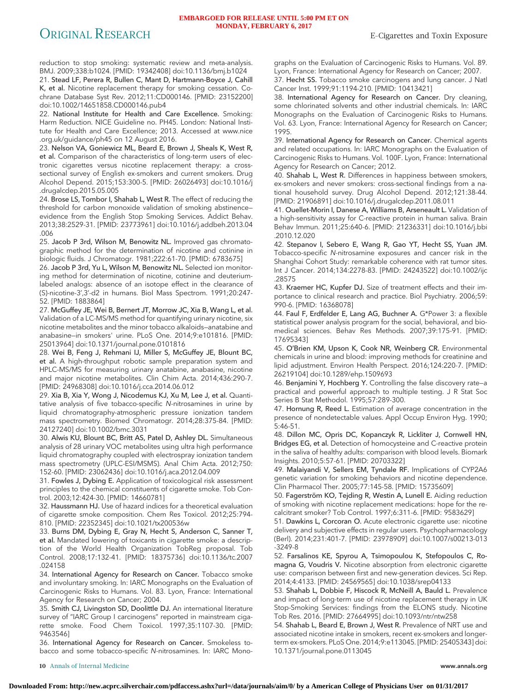# ORIGINAL RESEARCH E-Cigarettes and Toxin Exposure

reduction to stop smoking: systematic review and meta-analysis. BMJ. 2009;338:b1024. [PMID: 19342408] doi:10.1136/bmj.b1024

21. Stead LF, Perera R, Bullen C, Mant D, Hartmann-Boyce J, Cahill K, et al. Nicotine replacement therapy for smoking cessation. Cochrane Database Syst Rev. 2012;11:CD000146. [PMID: 23152200] doi:10.1002/14651858.CD000146.pub4

22. National Institute for Health and Care Excellence. Smoking: Harm Reduction. NICE Guideline no. PH45. London: National Institute for Health and Care Excellence; 2013. Accessed at [www.nice](http://www.nice.org.uk/guidance/ph45) [.org.uk/guidance/ph45](http://www.nice.org.uk/guidance/ph45) on 12 August 2016.

23. Nelson VA, Goniewicz ML, Beard E, Brown J, Sheals K, West R, et al. Comparison of the characteristics of long-term users of electronic cigarettes versus nicotine replacement therapy: a crosssectional survey of English ex-smokers and current smokers. Drug Alcohol Depend. 2015;153:300-5. [PMID: 26026493] doi:10.1016/j .drugalcdep.2015.05.005

24. Brose LS, Tombor I, Shahab L, West R. The effect of reducing the threshold for carbon monoxide validation of smoking abstinence evidence from the English Stop Smoking Services. Addict Behav. 2013;38:2529-31. [PMID: 23773961] doi:10.1016/j.addbeh.2013.04 .006

25. Jacob P 3rd, Wilson M, Benowitz NL. Improved gas chromatographic method for the determination of nicotine and cotinine in biologic fluids. J Chromatogr. 1981;222:61-70. [PMID: 6783675]

26. Jacob P 3rd, Yu L, Wilson M, Benowitz NL. Selected ion monitoring method for determination of nicotine, cotinine and deuteriumlabeled analogs: absence of an isotope effect in the clearance of (S)-nicotine-3',3'-d2 in humans. Biol Mass Spectrom. 1991;20:247- 52. [PMID: 1883864]

27. McGuffey JE, Wei B, Bernert JT, Morrow JC, Xia B, Wang L, et al. Validation of a LC-MS/MS method for quantifying urinary nicotine, six nicotine metabolites and the minor tobacco alkaloids—anatabine and anabasine—in smokers' urine. PLoS One. 2014;9:e101816. [PMID: 25013964] doi:10.1371/journal.pone.0101816

28. Wei B, Feng J, Rehmani IJ, Miller S, McGuffey JE, Blount BC, et al. A high-throughput robotic sample preparation system and HPLC-MS/MS for measuring urinary anatabine, anabasine, nicotine and major nicotine metabolites. Clin Chim Acta. 2014;436:290-7. [PMID: 24968308] doi:10.1016/j.cca.2014.06.012

29. Xia B, Xia Y, Wong J, Nicodemus KJ, Xu M, Lee J, et al. Quantitative analysis of five tobacco-specific N-nitrosamines in urine by liquid chromatography-atmospheric pressure ionization tandem mass spectrometry. Biomed Chromatogr. 2014;28:375-84. [PMID: 24127240] doi:10.1002/bmc.3031

30. Alwis KU, Blount BC, Britt AS, Patel D, Ashley DL. Simultaneous analysis of 28 urinary VOC metabolites using ultra high performance liquid chromatography coupled with electrospray ionization tandem mass spectrometry (UPLC-ESI/MSMS). Anal Chim Acta. 2012;750: 152-60. [PMID: 23062436] doi:10.1016/j.aca.2012.04.009

31. Fowles J, Dybing E. Application of toxicological risk assessment principles to the chemical constituents of cigarette smoke. Tob Control. 2003;12:424-30. [PMID: 14660781]

32. Haussmann HJ. Use of hazard indices for a theoretical evaluation of cigarette smoke composition. Chem Res Toxicol. 2012;25:794- 810. [PMID: 22352345] doi:10.1021/tx200536w

33. Burns DM, Dybing E, Gray N, Hecht S, Anderson C, Sanner T, et al. Mandated lowering of toxicants in cigarette smoke: a description of the World Health Organization TobReg proposal. Tob Control. 2008;17:132-41. [PMID: 18375736] doi:10.1136/tc.2007 .024158

34. International Agency for Research on Cancer. Tobacco smoke and involuntary smoking. In: IARC Monographs on the Evaluation of Carcinogenic Risks to Humans. Vol. 83. Lyon, France: International Agency for Research on Cancer; 2004.

35. Smith CJ, Livingston SD, Doolittle DJ. An international literature survey of "IARC Group I carcinogens" reported in mainstream cigarette smoke. Food Chem Toxicol. 1997;35:1107-30. [PMID: 9463546]

36. International Agency for Research on Cancer. Smokeless tobacco and some tobacco-specific N-nitrosamines. In: IARC Monographs on the Evaluation of Carcinogenic Risks to Humans. Vol. 89. Lyon, France: International Agency for Research on Cancer; 2007. 37. Hecht SS. Tobacco smoke carcinogens and lung cancer. J Natl Cancer Inst. 1999;91:1194-210. [PMID: 10413421]

38. International Agency for Research on Cancer. Dry cleaning, some chlorinated solvents and other industrial chemicals. In: IARC Monographs on the Evaluation of Carcinogenic Risks to Humans. Vol. 63. Lyon, France: International Agency for Research on Cancer; 1995.

39. International Agency for Research on Cancer. Chemical agents and related occupations. In: IARC Monographs on the Evaluation of Carcinogenic Risks to Humans. Vol. 100F. Lyon, France: International Agency for Research on Cancer; 2012.

40. Shahab L, West R. Differences in happiness between smokers, ex-smokers and never smokers: cross-sectional findings from a national household survey. Drug Alcohol Depend. 2012;121:38-44. [PMID: 21906891] doi:10.1016/j.drugalcdep.2011.08.011

41. Ouellet-Morin I, Danese A, Williams B, Arseneault L. Validation of a high-sensitivity assay for C-reactive protein in human saliva. Brain Behav Immun. 2011;25:640-6. [PMID: 21236331] doi:10.1016/j.bbi .2010.12.020

42. Stepanov I, Sebero E, Wang R, Gao YT, Hecht SS, Yuan JM. Tobacco-specific N-nitrosamine exposures and cancer risk in the Shanghai Cohort Study: remarkable coherence with rat tumor sites. Int J Cancer. 2014;134:2278-83. [PMID: 24243522] doi:10.1002/ijc .28575

43. Kraemer HC, Kupfer DJ. Size of treatment effects and their importance to clinical research and practice. Biol Psychiatry. 2006;59: 990-6. [PMID: 16368078]

44. Faul F, Erdfelder E, Lang AG, Buchner A. G\*Power 3: a flexible statistical power analysis program for the social, behavioral, and biomedical sciences. Behav Res Methods. 2007;39:175-91. [PMID: 17695343]

45. O'Brien KM, Upson K, Cook NR, Weinberg CR. Environmental chemicals in urine and blood: improving methods for creatinine and lipid adjustment. Environ Health Perspect. 2016;124:220-7. [PMID: 26219104] doi:10.1289/ehp.1509693

46. Benjamini Y, Hochberg Y. Controlling the false discovery rate—a practical and powerful approach to multiple testing. J R Stat Soc Series B Stat Methodol. 1995;57:289-300.

47. Hornung R, Reed L. Estimation of average concentration in the presence of nondetectable values. Appl Occup Environ Hyg. 1990; 5:46-51.

48. Dillon MC, Opris DC, Kopanczyk R, Lickliter J, Cornwell HN, Bridges EG, et al. Detection of homocysteine and C-reactive protein in the saliva of healthy adults: comparison with blood levels. Biomark Insights. 2010;5:57-61. [PMID: 20703322]

49. Malaiyandi V, Sellers EM, Tyndale RF. Implications of CYP2A6 genetic variation for smoking behaviors and nicotine dependence. Clin Pharmacol Ther. 2005;77:145-58. [PMID: 15735609]

50. Fagerström KO, Tejding R, Westin A, Lunell E. Aiding reduction of smoking with nicotine replacement medications: hope for the recalcitrant smoker? Tob Control. 1997;6:311-6. [PMID: 9583629]

51. Dawkins L, Corcoran O. Acute electronic cigarette use: nicotine delivery and subjective effects in regular users. Psychopharmacology (Berl). 2014;231:401-7. [PMID: 23978909] doi:10.1007/s00213-013 -3249-8

52. Farsalinos KE, Spyrou A, Tsimopoulou K, Stefopoulos C, Romagna G, Voudris V. Nicotine absorption from electronic cigarette use: comparison between first and new-generation devices. Sci Rep. 2014;4:4133. [PMID: 24569565] doi:10.1038/srep04133

53. Shahab L, Dobbie F, Hiscock R, McNeill A, Bauld L. Prevalence and impact of long-term use of nicotine replacement therapy in UK Stop-Smoking Services: findings from the ELONS study. Nicotine Tob Res. 2016. [PMID: 27664995] doi:10.1093/ntr/ntw258

54. Shahab L, Beard E, Brown J, West R. Prevalence of NRT use and associated nicotine intake in smokers, recent ex-smokers and longerterm ex-smokers. PLoS One. 2014;9:e113045. [PMID: 25405343] doi: 10.1371/journal.pone.0113045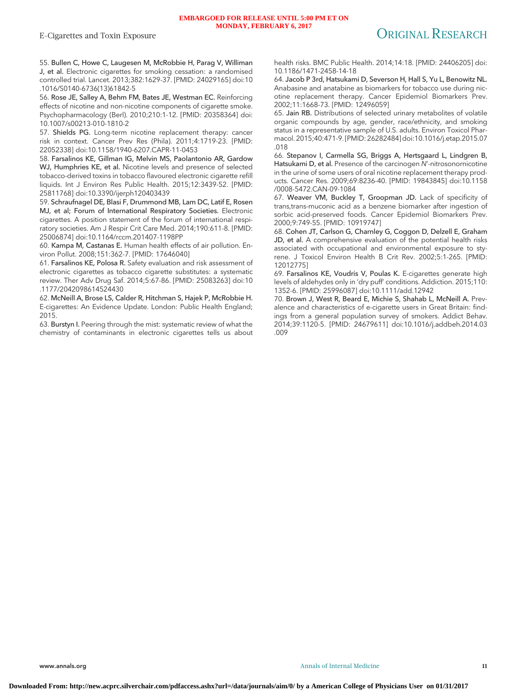55. Bullen C, Howe C, Laugesen M, McRobbie H, Parag V, Williman J, et al. Electronic cigarettes for smoking cessation: a randomised controlled trial. Lancet. 2013;382:1629-37. [PMID: 24029165] doi:10 .1016/S0140-6736(13)61842-5

56. Rose JE, Salley A, Behm FM, Bates JE, Westman EC. Reinforcing effects of nicotine and non-nicotine components of cigarette smoke. Psychopharmacology (Berl). 2010;210:1-12. [PMID: 20358364] doi: 10.1007/s00213-010-1810-2

57. Shields PG. Long-term nicotine replacement therapy: cancer risk in context. Cancer Prev Res (Phila). 2011;4:1719-23. [PMID: 22052338] doi:10.1158/1940-6207.CAPR-11-0453

58. Farsalinos KE, Gillman IG, Melvin MS, Paolantonio AR, Gardow WJ, Humphries KE, et al. Nicotine levels and presence of selected tobacco-derived toxins in tobacco flavoured electronic cigarette refill liquids. Int J Environ Res Public Health. 2015;12:3439-52. [PMID: 25811768] doi:10.3390/ijerph120403439

59. Schraufnagel DE, Blasi F, Drummond MB, Lam DC, Latif E, Rosen MJ, et al; Forum of International Respiratory Societies. Electronic cigarettes. A position statement of the forum of international respiratory societies. Am J Respir Crit Care Med. 2014;190:611-8. [PMID: 25006874] doi:10.1164/rccm.201407-1198PP

60. Kampa M, Castanas E. Human health effects of air pollution. Environ Pollut. 2008;151:362-7. [PMID: 17646040]

61. Farsalinos KE, Polosa R. Safety evaluation and risk assessment of electronic cigarettes as tobacco cigarette substitutes: a systematic review. Ther Adv Drug Saf. 2014;5:67-86. [PMID: 25083263] doi:10 .1177/2042098614524430

62. McNeill A, Brose LS, Calder R, Hitchman S, Hajek P, McRobbie H. E-cigarettes: An Evidence Update. London: Public Health England; 2015.

63. Burstyn I. Peering through the mist: systematic review of what the chemistry of contaminants in electronic cigarettes tells us about

health risks. BMC Public Health. 2014;14:18. [PMID: 24406205] doi: 10.1186/1471-2458-14-18

64. Jacob P 3rd, Hatsukami D, Severson H, Hall S, Yu L, Benowitz NL. Anabasine and anatabine as biomarkers for tobacco use during nicotine replacement therapy. Cancer Epidemiol Biomarkers Prev. 2002;11:1668-73. [PMID: 12496059]

65. Jain RB. Distributions of selected urinary metabolites of volatile organic compounds by age, gender, race/ethnicity, and smoking status in a representative sample of U.S. adults. Environ Toxicol Pharmacol. 2015;40:471-9. [PMID: 26282484] doi:10.1016/j.etap.2015.07 .018

66. Stepanov I, Carmella SG, Briggs A, Hertsgaard L, Lindgren B, Hatsukami D, et al. Presence of the carcinogen N'-nitrosonornicotine in the urine of some users of oral nicotine replacement therapy products. Cancer Res. 2009;69:8236-40. [PMID: 19843845] doi:10.1158 /0008-5472.CAN-09-1084

67. Weaver VM, Buckley T, Groopman JD. Lack of specificity of trans,trans-muconic acid as a benzene biomarker after ingestion of sorbic acid-preserved foods. Cancer Epidemiol Biomarkers Prev. 2000;9:749-55. [PMID: 10919747]

68. Cohen JT, Carlson G, Charnley G, Coggon D, Delzell E, Graham JD, et al. A comprehensive evaluation of the potential health risks associated with occupational and environmental exposure to styrene. J Toxicol Environ Health B Crit Rev. 2002;5:1-265. [PMID: 12012775]

69. Farsalinos KE, Voudris V, Poulas K. E-cigarettes generate high levels of aldehydes only in 'dry puff' conditions. Addiction. 2015;110: 1352-6. [PMID: 25996087] doi:10.1111/add.12942

70. Brown J, West R, Beard E, Michie S, Shahab L, McNeill A. Prevalence and characteristics of e-cigarette users in Great Britain: findings from a general population survey of smokers. Addict Behav. 2014;39:1120-5. [PMID: 24679611] doi:10.1016/j.addbeh.2014.03 .009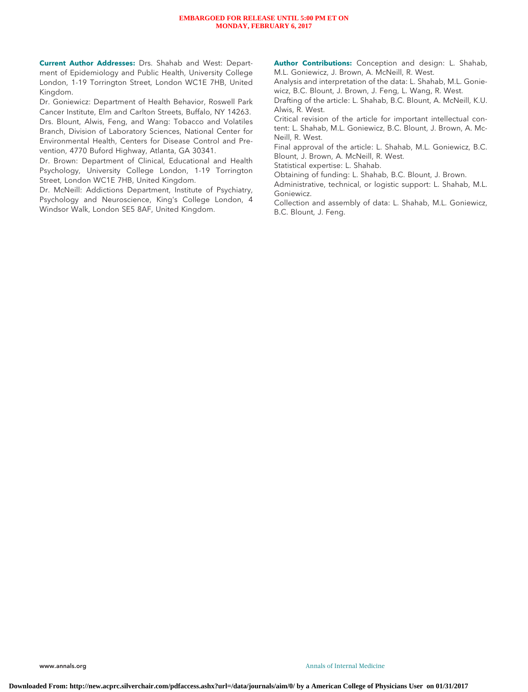#### **EMBARGOED FOR RELEASE UNTIL 5:00 PM ET ON MONDAY, FEBRUARY 6, 2017**

**Current Author Addresses:** Drs. Shahab and West: Department of Epidemiology and Public Health, University College London, 1-19 Torrington Street, London WC1E 7HB, United Kingdom.

Dr. Goniewicz: Department of Health Behavior, Roswell Park Cancer Institute, Elm and Carlton Streets, Buffalo, NY 14263. Drs. Blount, Alwis, Feng, and Wang: Tobacco and Volatiles Branch, Division of Laboratory Sciences, National Center for Environmental Health, Centers for Disease Control and Prevention, 4770 Buford Highway, Atlanta, GA 30341.

Dr. Brown: Department of Clinical, Educational and Health Psychology, University College London, 1-19 Torrington Street, London WC1E 7HB, United Kingdom.

Dr. McNeill: Addictions Department, Institute of Psychiatry, Psychology and Neuroscience, King's College London, 4 Windsor Walk, London SE5 8AF, United Kingdom.

**Author Contributions:** Conception and design: L. Shahab, M.L. Goniewicz, J. Brown, A. McNeill, R. West.

Analysis and interpretation of the data: L. Shahab, M.L. Goniewicz, B.C. Blount, J. Brown, J. Feng, L. Wang, R. West.

Drafting of the article: L. Shahab, B.C. Blount, A. McNeill, K.U. Alwis, R. West.

Critical revision of the article for important intellectual content: L. Shahab, M.L. Goniewicz, B.C. Blount, J. Brown, A. Mc-Neill, R. West.

Final approval of the article: L. Shahab, M.L. Goniewicz, B.C. Blount, J. Brown, A. McNeill, R. West.

Statistical expertise: L. Shahab.

Obtaining of funding: L. Shahab, B.C. Blount, J. Brown.

Administrative, technical, or logistic support: L. Shahab, M.L. Goniewicz.

Collection and assembly of data: L. Shahab, M.L. Goniewicz, B.C. Blount, J. Feng.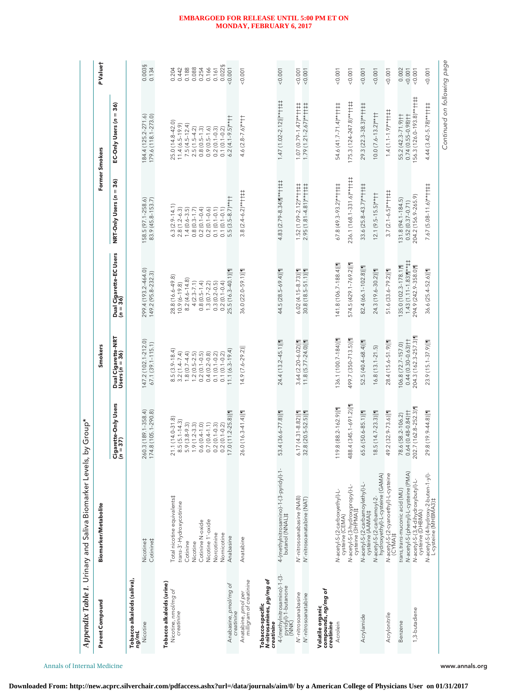|                                                                                           | Appendix Table 1. Urinary and Saliva Biomarker Levels,                                                                                                 | by Group*                                                                                                                                                      |                                                                                                                                                               |                                                                                                                                                           |                                                                                                                                                           |                                                                                                                                                           |                                                                       |
|-------------------------------------------------------------------------------------------|--------------------------------------------------------------------------------------------------------------------------------------------------------|----------------------------------------------------------------------------------------------------------------------------------------------------------------|---------------------------------------------------------------------------------------------------------------------------------------------------------------|-----------------------------------------------------------------------------------------------------------------------------------------------------------|-----------------------------------------------------------------------------------------------------------------------------------------------------------|-----------------------------------------------------------------------------------------------------------------------------------------------------------|-----------------------------------------------------------------------|
| Parent Compound                                                                           | Biomarker/Metabolite                                                                                                                                   |                                                                                                                                                                | <b>Smokers</b>                                                                                                                                                |                                                                                                                                                           |                                                                                                                                                           | Former Smokers                                                                                                                                            | P Value†                                                              |
|                                                                                           |                                                                                                                                                        | garette-Only Users<br>= 37)<br>∣ฃs                                                                                                                             | Dual Cigarette-NRT<br>Users (n = 36)                                                                                                                          | Dual Cigarette-EC Users<br>(n = 36)                                                                                                                       | NRT-Only Users (n = 36)                                                                                                                                   | EC-Only Users (n = 36)                                                                                                                                    |                                                                       |
| Tobacco alkaloids (saliva),<br>ng/mL                                                      |                                                                                                                                                        |                                                                                                                                                                |                                                                                                                                                               |                                                                                                                                                           |                                                                                                                                                           |                                                                                                                                                           |                                                                       |
| Nicotine                                                                                  | Cotinine‡<br>Nicotine‡                                                                                                                                 | 260.3 (189.1-358.4)<br>174.8 (105.1-290.8)                                                                                                                     | 147.2(102.1-212.0)<br>67.1 (39.1-115.1)                                                                                                                       | 299.4 (193.2-464.0)<br>149.2 (95.8-232.3)                                                                                                                 | 58.5 (97.1-258.6)<br>83.9 (45.8-153.7)                                                                                                                    | 84.4 (125.2-271.6)<br>179.6 (118.1-273.0)                                                                                                                 | 0.003§<br>0.134                                                       |
| Tobacco alkaloids (urine)<br>Nicotine, nmol/mg of<br>creatinine                           | Total nicotine equivalents‡<br>trans-3'-Hydroxycotinine<br>Nicotine 1'-oxide<br>Cotinine N-oxide<br>Norcotinine<br>Nornicotine<br>Cotinine<br>Nicotine | $21.1(14.0 - 31.8)$<br>$8.5(5.1 - 14.3)$<br>$5.9(3.8-9.3)$<br>$1.9(1.2 - 3.3)$<br>$0.6(0.4 - 1.0)$<br>$0.7(0.4 - 1.1)$<br>$0.2(0.1 - 0.3)$<br>$0.2(0.1 - 0.2)$ | $8.5(3.9 - 18.4)$<br>$3.2(1.4 - 7.4)$<br>$1.8(0.7 - 4.4)$<br>$1.2(0.5 - 2.5)$<br>$0.2(0.1 - 0.5)$<br>$0.4(0.2 - 0.8)$<br>$0.1(0.1 - 0.2)$<br>$0.1(0.1 - 0.2)$ | 28.8 (16.6-49.8)<br>$8.2(4.6 - 14.8)$<br>$4(2.3 - 7.1)$<br>$0.8(0.5 - 1.4)$<br>$0.3(0.2 - 0.5)$<br>$0.2(0.1 - 0.4)$<br>$1.3(0.7-2.2)$<br>$10.9(6 - 19.8)$ | $6.3(2.9 - 14.1)$<br>$2.8(1.2 - 6.3)$<br>$1.4(0.6-3.5)$<br>$0.2(0.1 - 0.4)$<br>$0.2(0.1 - 0.6)$<br>$0.8(0.3 - 1.7)$<br>$0.1(0.1 - 0.1)$<br>$0.1(0.1-0.1)$ | 25.0 (14.8-42.0)<br>$11.4(6.5-19.9)$<br>$7.5(4.5-12.4)$<br>$2.5(1.5-4.2)$<br>$0.8(0.5 - 1.3)$<br>$0.9(0.5 - 1.6)$<br>$0.2(0.1 - 0.3)$<br>$0.1(0.1 - 0.2)$ | 0.022§<br>0.188<br>0.254<br>0.166<br>0.204<br>0.442<br>0.088<br>0.161 |
| Anabasine, pmol/mg of<br>creatinine                                                       | Anabasine                                                                                                                                              | $7.0(11.2 - 25.8)  1$                                                                                                                                          | $11.1(6.3-19.4)$                                                                                                                                              | 25.5 (16.3-40.1)  1                                                                                                                                       | $5.5(3.5-8.7)***$                                                                                                                                         | $6.2(4.1-9.5)$ **††                                                                                                                                       | 0.001                                                                 |
| milligram of creatinine<br>Anatabine, pmol per                                            | Anatabine                                                                                                                                              | 26.0(16.3-41.4)  1                                                                                                                                             | $14.9(7.6-29.2)$                                                                                                                                              | 36.0 (22.0-59.1)  1                                                                                                                                       | $3.8(2.4-6.2)$ **††‡‡                                                                                                                                     | $4.6(2.8 - 7.6)$ **††                                                                                                                                     | 0.001                                                                 |
| 4-(methylnitrosamino)-1-(3-<br>Tobacco-specific<br>N-nitrosamines, pg/mg of<br>creatinine |                                                                                                                                                        | 53.4 (36.6-77.8)  1                                                                                                                                            | 24.4 (13.2-45.1)  1                                                                                                                                           | 44.5 (28.5-69.4)  1                                                                                                                                       | 4.83 (2.79-8.34) $\P^{\star\star}$ + $\uparrow$ $\downarrow$ +                                                                                            | $1.47$ (1.02-2.12) ** $\uparrow \uparrow \uparrow \uparrow \uparrow$                                                                                      | 0.001                                                                 |
| pyridyl)-1-butanone<br>(NNK)                                                              | 4-(methylnitrosamino)-1-(3-pyridyl)-1-<br>butanol (NNAL)‡                                                                                              |                                                                                                                                                                |                                                                                                                                                               |                                                                                                                                                           |                                                                                                                                                           |                                                                                                                                                           |                                                                       |
| N'-nitrosoanabasine<br>N'-nitrosoanatabine                                                | N'-nitrosoanabasine (NAB)<br>/V'-nitrosoanatabine (NAT)                                                                                                | $5.17(4.31 - 8.82)$<br>32.8 (20.5-52.5)                                                                                                                        | 11.8 (5.77-24.0)  1<br>$3.64(2.20 - 6.02)$                                                                                                                    | $6.02(4.15-8.73)  $<br>$30.8(18.5 - 51.1)\ $                                                                                                              | $1.52(1.09 - 2.12)$ **††‡‡<br>$2.95(1.81 - 4.81)$ **†##                                                                                                   | $1.07(0.79 - 1.47)$ **††<br>$1.79(1.21 - 2.67)$ **††‡‡                                                                                                    | 0.001<br>0.001                                                        |
| Volatile organic<br>compounds, <i>ng/mg of</i><br>creatinine                              |                                                                                                                                                        |                                                                                                                                                                |                                                                                                                                                               |                                                                                                                                                           |                                                                                                                                                           |                                                                                                                                                           |                                                                       |
| Acrolein                                                                                  | N-acetyl-S-(2-carboxyethyl)-L-<br>cysteine (CEMA)                                                                                                      | $9.8(88.2 - 162.9)  1$<br>Ξ                                                                                                                                    | 136.1 (100.7-184)  1                                                                                                                                          | 141.8 (106.7-188.4)                                                                                                                                       | $67.8(49.3 - 93.2)$ **††‡‡                                                                                                                                | 54.6 (41.7-71.4)**††#                                                                                                                                     | 0.001                                                                 |
|                                                                                           | N-acetyl-S-(3-hydroxypropyl)-L-<br>cysteine (3HPMA)‡                                                                                                   | 488.4 (345.1-691.2)                                                                                                                                            | 499.7 (350-713.5)  1                                                                                                                                          | 574.5 (429.1-769.2)                                                                                                                                       | 236.1 (168.1-331.6)** † † ‡                                                                                                                               | 175.3 (124-247.8)** $\uparrow \uparrow \uparrow \uparrow \uparrow$                                                                                        | 0.001                                                                 |
| Acrylamide                                                                                | N-acetyl-S-(2-carbamoylethyl)-L-<br>cysteine (AAMA)‡                                                                                                   | 5.6 (50.6-85.1)                                                                                                                                                | 52.5 (40.4-68.4)  1                                                                                                                                           | 82.4 (66.1-102.8)  1                                                                                                                                      | 33.6 (25.8-43.7)**††##                                                                                                                                    | 29.3 (22.3-38.3)**††‡‡                                                                                                                                    | 0.001                                                                 |
|                                                                                           | hydroxyethyl)-L-cysteine (GAMA)<br>N-acetyl-S-(2-carbamoyl-2-                                                                                          | $8.5(14.7 - 23.3)  1$                                                                                                                                          | $16.8(13.1 - 21.5)$                                                                                                                                           | 24.3 (19.6-30.2)  1                                                                                                                                       | $12.1 (9.5 - 15.5)$ **††                                                                                                                                  | $10.0(7.6-13.2)***$                                                                                                                                       | 0.001                                                                 |
| Acrylonitrile                                                                             | N-acetyl-S-(2-cyanoethyl)-L-cysteine<br>(CYMA)#                                                                                                        | 49.2 (32.9-73.6)  1                                                                                                                                            | 28.4 (15.6-51.9)  1                                                                                                                                           | 51.6 (33.6-79.2)  1                                                                                                                                       | $3.7 (2.1 - 6.5)$ **†† $\ddagger$                                                                                                                         |                                                                                                                                                           | 0.001                                                                 |
| Benzene                                                                                   | N-acetyl-S-(phenyl)-L-cysteine (PMA)<br>trans, trans-muconic acid (MU)                                                                                 | $0.64(0.48 - 0.84)$ ††<br>78.6 (58.2-106.2)                                                                                                                    | $0.44(0.30 - 0.63)$ ††<br>106.8 (72.7-157.0)                                                                                                                  | $1.43(1.11-1.83)$<br>135.0 (102.3-178.1)                                                                                                                  | $131.8(94.1 - 184.5)$<br>$0.52(0.37 - 0.71)$                                                                                                              | 55.2 (42.3-71.9) <sup>++</sup><br>$0.74(0.55 - 0.98)$                                                                                                     | 0.002<br>0.001                                                        |
| 1,3-butadiene                                                                             | N-acetyl-S-(3,4-dihydroxybutyl)-L-<br>cysteine (DHBMA)                                                                                                 | 202.7 (162.8-252.3)                                                                                                                                            | 204.3 (162.3-257.3)                                                                                                                                           | 294.9 (242.9-358.0)                                                                                                                                       | 204.2 (156.9-265.9)                                                                                                                                       | 56.3 (126.0-193.8)** † † ‡                                                                                                                                | 0.001                                                                 |
|                                                                                           | N-acetyl-S-(4-hydroxy-2-buten-1-yl)-<br>L-cysteine (MHBMA3)‡                                                                                           | 29.8 (19.9-44.8)                                                                                                                                               | 23.9 (15.1-37.9)                                                                                                                                              | 36.6 (25.4-52.6)  1                                                                                                                                       | $7.67$ (5.08-11.6)**††‡‡                                                                                                                                  | $4.44(3.42 - 5.78)$ **††‡‡                                                                                                                                | 0.001                                                                 |
|                                                                                           |                                                                                                                                                        |                                                                                                                                                                |                                                                                                                                                               |                                                                                                                                                           |                                                                                                                                                           | Continued on following page                                                                                                                               |                                                                       |

### **EMBARGOED FOR RELEASE UNTIL 5:00 PM ET ON MONDAY, FEBRUARY 6, 2017**

Annals of Internal Medicine www.annals.org

**Downloaded From: http://new.acprc.silverchair.com/pdfaccess.ashx?url=/data/journals/aim/0/ by a American College of Physicians User on 01/31/2017**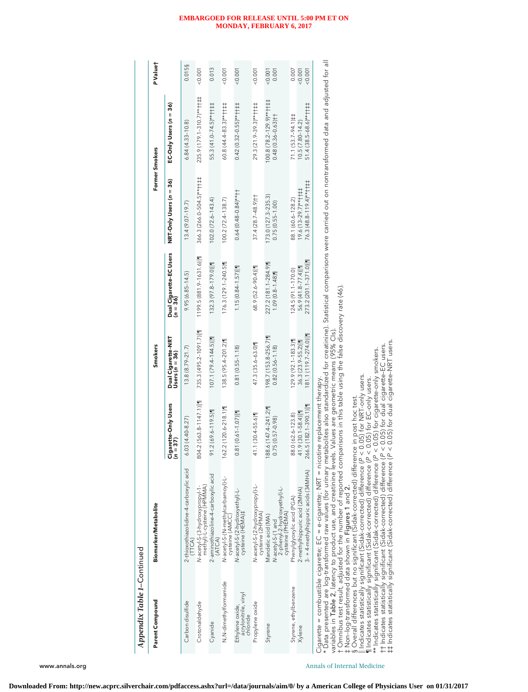| Parent Compound                                                                                                           | Biomarker/Metabolite                                                                                                                                                                                                                                                                                                                                                                                      |                                            | <b>Smokers</b>                                |                                            |                                                                                                                    | Former Smokers                                    | P Valuet       |
|---------------------------------------------------------------------------------------------------------------------------|-----------------------------------------------------------------------------------------------------------------------------------------------------------------------------------------------------------------------------------------------------------------------------------------------------------------------------------------------------------------------------------------------------------|--------------------------------------------|-----------------------------------------------|--------------------------------------------|--------------------------------------------------------------------------------------------------------------------|---------------------------------------------------|----------------|
|                                                                                                                           |                                                                                                                                                                                                                                                                                                                                                                                                           | Cigarette-Only Users<br>(n = 37)           | Dual Cigarette-NRT<br>Users (n = 36)          | Dual Cigarette-EC Users<br>(n = 36)        | $NRT$ -Only Users ( $n = 36$ )                                                                                     | EC-Only Users (n = 36)                            |                |
| Carbon disulfide                                                                                                          | 2-thioxothiazolidine-4-carboxylic acid                                                                                                                                                                                                                                                                                                                                                                    | $6.03(4.40 - 8.27)$                        | $13.8(8.79 - 21.7)$                           | $9.95(6.85 - 14.5)$                        | $13.4(9.07 - 19.7)$                                                                                                | $6.84(4.33 - 10.8)$                               | 0.015§         |
| Crotonaldehyde                                                                                                            | N-acetyl-S-(3-hydroxypropyl-1-<br>methyl)-L-cysteine (HPMMA)                                                                                                                                                                                                                                                                                                                                              | 804.2 (563.8-1147.1)                       | 735.3 (495.2-1091.7)   1                      | $1199.5(881.9 - 1631.6)  1$                | 366.3 (266.0-504.5)** † † ‡ ‡                                                                                      | 235.9 (179.1-310.7)**††‡‡                         | 0.001          |
| Cyanide                                                                                                                   | 2-aminothiazoline-4-carboxylic acid<br>(ATCA)                                                                                                                                                                                                                                                                                                                                                             | 21.2 (69.6-119.5)                          | $107.1(79.4 - 144.5)  $                       | 132.3 (97.8-179.0)                         | $102.0(72.6 - 143.4)$                                                                                              | 55.3 (41.0-74.5)**††‡‡                            | 0.013          |
| N,N-dimethylformamide                                                                                                     | N-acetyl-S-(N-methylcarbamoyl)-L-<br>cysteine (AMCC)                                                                                                                                                                                                                                                                                                                                                      | 162.2 (120.6-218.1)                        | 138.5 (95.4-201.2)                            | 176.3 (129.1-240.5)                        | $100.2(72.4 - 138.7)$                                                                                              | $60.8(44.4 - 83.3)$ **††‡‡                        | 0.001          |
| acrylonitrile, vinyl<br>chloride<br>Ethylene oxide,                                                                       | N-acetyl-S-(2-hydroxyethyl)-L-<br>cysteine (HEMA)‡                                                                                                                                                                                                                                                                                                                                                        | $81 (0.61 - 1.07)$                         | $0.81(0.55 - 1.18)$                           | $1.15(0.84 - 1.57)  1$                     | $0.64(0.48-0.84)*+1$                                                                                               | $0.42(0.32 - 0.55)$ **††##                        | < 0.001        |
| Propylene oxide                                                                                                           | N-acetyl-S-(2-hydroxypropyl)-L-<br>cysteine (2HPMA)                                                                                                                                                                                                                                                                                                                                                       | 11.1 (30.4-55.6)                           | 47.3 (35.6-63.0)                              | 68.9 (52.6-90.4)  1                        | $37.4(28.7 - 48.9)$ ††                                                                                             | 29.3 (21.9-39.3)**††##                            | 0.007          |
| Styrene                                                                                                                   | N-acetyl-S-(1 and<br>2-phenyl-2-hydroxyethyl)-L-<br>cysteine (PHEMA)<br>Mandelic acid (MA)                                                                                                                                                                                                                                                                                                                | 188.6 (147.4-241.2)<br>$0.75(0.57 - 0.98)$ | 198.7 (153.8-256.7)<br>$0.82(0.56 - 1.18)$    | 227.2 (181.1-284.9)<br>$1.09(0.8 - 1.48)$  | 173.0 (127.3-235.3)<br>$0.75(0.55 - 1.00)$                                                                         | 100.8 (78.2-129.9)**††‡‡<br>$0.48(0.36 - 0.63)$   | 0.001<br>0.001 |
| Styrene, ethylbenzene                                                                                                     | Phenylglyoxylic acid (PGA)                                                                                                                                                                                                                                                                                                                                                                                | 38.0 (62.6-123.8)                          | 129.9 (92.1-183.3)                            | $124.5(91.1 - 170.0)$                      | 88.1 (60.6-128.2)                                                                                                  | 71.1 (53.7-94.1)##                                | 0.007          |
| Xvlene                                                                                                                    | 3-+4-methylhippuric acids (34MHA)<br>2-methylhippuric acid (2MHA)                                                                                                                                                                                                                                                                                                                                         | 266.5 (182.1-390.1)<br>$11.9$ (30.1-58.4)  | 181.1 (119.7-274.0)  1<br>$36.3(23.9 - 55.2)$ | 273.2 (201.1-371.0)  1<br>56.9 (41.8-77.4) | $76.3(48.8 - 119.4)$ ** $+++$<br>19.6 (13-29.7)** $\uparrow \uparrow \uparrow \uparrow \uparrow \uparrow \uparrow$ | $51.4(38.5 - 68.6)$ **††‡‡<br>$10.5(7.80 - 14.2)$ | 0.001<br>0.001 |
| t Omnibus test result, adjusted for the number of reported comparisons in this table using the false discovery rate (46). | * Data presented are log-transformed raw values (for urinary metabolites also standardized for creatinine). Statistical comparisons were carried out on nontransformed data and adjusted for all<br>variables in Table 2, latency to product use, and creatinine levels. Values are geometric means (95% Cls)<br>Cigarette = combustible cigarette; EC = e-cigarette; NRT = nicotine replacement therapy. |                                            |                                               |                                            |                                                                                                                    |                                                   |                |

† Omnibus test result, adjusted for the number of reported comparisons in this table using the false discovery rate (46).

‡ Non–log-transformed data shown in Figures 1 and 2.

§ Overall differences but no significant (Sidak-corrected) difference in post hoc test.

Indicates statistically significant (Sidak-corrected) difference (P < 0.05) for NRT-only users.

¶ Indicates statistically significant (Sidak-corrected) difference (P < 0.05) for EC-only users. \*\* Indicates statistically significant (Sidak-corrected) difference (P < 0.05) for cigarette-only smokers.

†† Indicates statistically significant (Sidak-corrected) difference (P < 0.05) for dual cigarette–EC users.

‡‡ Indicates statistically significant (Sidak-corrected) difference (P < 0.05) for dual cigarette–NRT users.

#### **EMBARGOED FOR RELEASE UNTIL 5:00 PM ET ON MONDAY, FEBRUARY 6, 2017**

www.annals.org **Annals of Internal Medicine** Annals of Internal Medicine